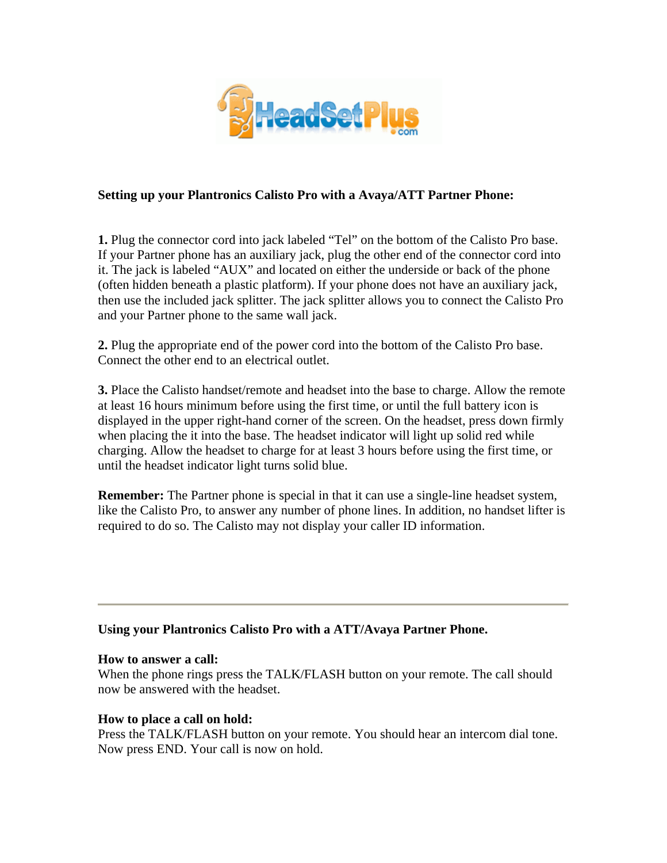

# **Setting up your Plantronics Calisto Pro with a Avaya/ATT Partner Phone:**

**1.** Plug the connector cord into jack labeled "Tel" on the bottom of the Calisto Pro base. If your Partner phone has an auxiliary jack, plug the other end of the connector cord into it. The jack is labeled "AUX" and located on either the underside or back of the phone (often hidden beneath a plastic platform). If your phone does not have an auxiliary jack, then use the included jack splitter. The jack splitter allows you to connect the Calisto Pro and your Partner phone to the same wall jack.

**2.** Plug the appropriate end of the power cord into the bottom of the Calisto Pro base. Connect the other end to an electrical outlet.

**3.** Place the Calisto handset/remote and headset into the base to charge. Allow the remote at least 16 hours minimum before using the first time, or until the full battery icon is displayed in the upper right-hand corner of the screen. On the headset, press down firmly when placing the it into the base. The headset indicator will light up solid red while charging. Allow the headset to charge for at least 3 hours before using the first time, or until the headset indicator light turns solid blue.

**Remember:** The Partner phone is special in that it can use a single-line headset system, like the Calisto Pro, to answer any number of phone lines. In addition, no handset lifter is required to do so. The Calisto may not display your caller ID information.

### **Using your Plantronics Calisto Pro with a ATT/Avaya Partner Phone.**

### **How to answer a call:**

When the phone rings press the TALK/FLASH button on your remote. The call should now be answered with the headset.

### **How to place a call on hold:**

Press the TALK/FLASH button on your remote. You should hear an intercom dial tone. Now press END. Your call is now on hold.